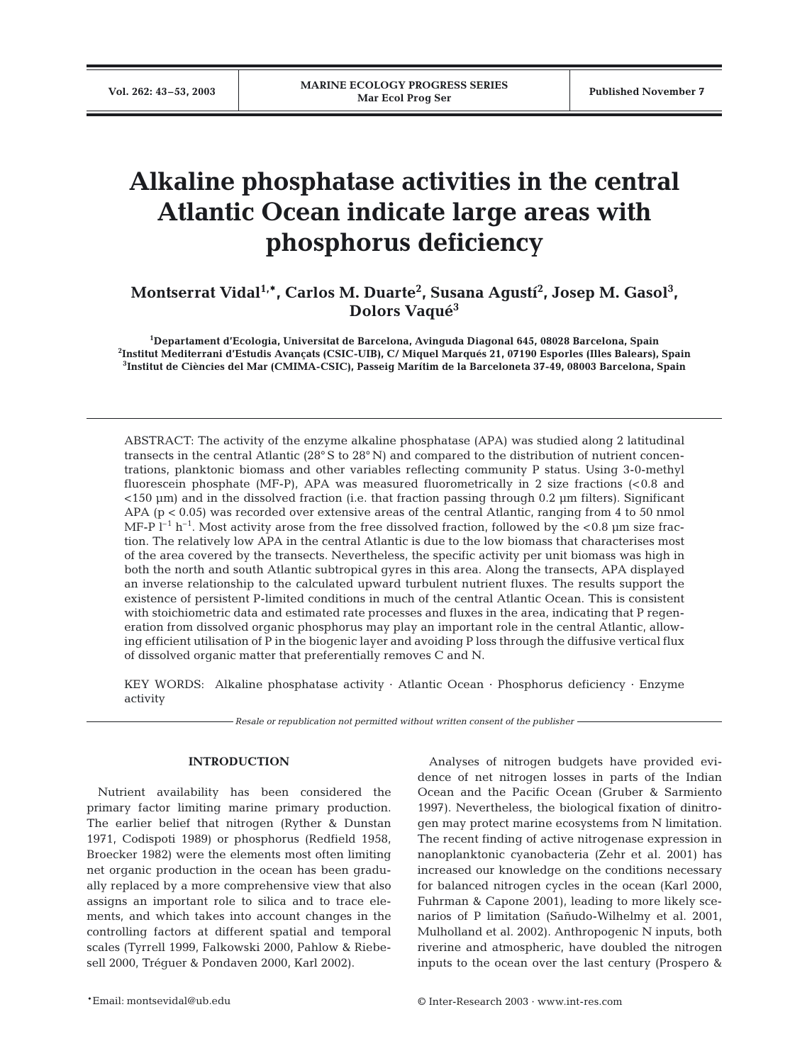# **Alkaline phosphatase activities in the central Atlantic Ocean indicate large areas with phosphorus deficiency**

# Montserrat Vidal<sup>1,</sup>\*, Carlos M. Duarte<sup>2</sup>, Susana Agustí<sup>2</sup>, Josep M. Gasol<sup>3</sup>, **Dolors Vaqué3**

**1 Departament d'Ecologia, Universitat de Barcelona, Avinguda Diagonal 645, 08028 Barcelona, Spain 2 Institut Mediterrani d'Estudis Avançats (CSIC-UIB), C/ Miquel Marqués 21, 07190 Esporles (Illes Balears), Spain 3 Institut de Ciències del Mar (CMIMA-CSIC), Passeig Marítim de la Barceloneta 37-49, 08003 Barcelona, Spain**

ABSTRACT: The activity of the enzyme alkaline phosphatase (APA) was studied along 2 latitudinal transects in the central Atlantic (28° S to 28° N) and compared to the distribution of nutrient concentrations, planktonic biomass and other variables reflecting community P status. Using 3-0-methyl fluorescein phosphate (MF-P), APA was measured fluorometrically in 2 size fractions (<0.8 and <150 µm) and in the dissolved fraction (i.e. that fraction passing through 0.2 µm filters). Significant APA (p < 0.05) was recorded over extensive areas of the central Atlantic, ranging from 4 to 50 nmol MF-P  $l^{-1}$  h<sup>-1</sup>. Most activity arose from the free dissolved fraction, followed by the <0.8 µm size fraction. The relatively low APA in the central Atlantic is due to the low biomass that characterises most of the area covered by the transects. Nevertheless, the specific activity per unit biomass was high in both the north and south Atlantic subtropical gyres in this area. Along the transects, APA displayed an inverse relationship to the calculated upward turbulent nutrient fluxes. The results support the existence of persistent P-limited conditions in much of the central Atlantic Ocean. This is consistent with stoichiometric data and estimated rate processes and fluxes in the area, indicating that P regeneration from dissolved organic phosphorus may play an important role in the central Atlantic, allowing efficient utilisation of P in the biogenic layer and avoiding P loss through the diffusive vertical flux of dissolved organic matter that preferentially removes C and N.

KEY WORDS: Alkaline phosphatase activity · Atlantic Ocean · Phosphorus deficiency · Enzyme activity

*Resale or republication not permitted without written consent of the publisher*

#### **INTRODUCTION**

Nutrient availability has been considered the primary factor limiting marine primary production. The earlier belief that nitrogen (Ryther & Dunstan 1971, Codispoti 1989) or phosphorus (Redfield 1958, Broecker 1982) were the elements most often limiting net organic production in the ocean has been gradually replaced by a more comprehensive view that also assigns an important role to silica and to trace elements, and which takes into account changes in the controlling factors at different spatial and temporal scales (Tyrrell 1999, Falkowski 2000, Pahlow & Riebesell 2000, Tréguer & Pondaven 2000, Karl 2002).

Analyses of nitrogen budgets have provided evidence of net nitrogen losses in parts of the Indian Ocean and the Pacific Ocean (Gruber & Sarmiento 1997). Nevertheless, the biological fixation of dinitrogen may protect marine ecosystems from N limitation. The recent finding of active nitrogenase expression in nanoplanktonic cyanobacteria (Zehr et al. 2001) has increased our knowledge on the conditions necessary for balanced nitrogen cycles in the ocean (Karl 2000, Fuhrman & Capone 2001), leading to more likely scenarios of P limitation (Sañudo-Wilhelmy et al. 2001, Mulholland et al. 2002). Anthropogenic N inputs, both riverine and atmospheric, have doubled the nitrogen inputs to the ocean over the last century (Prospero &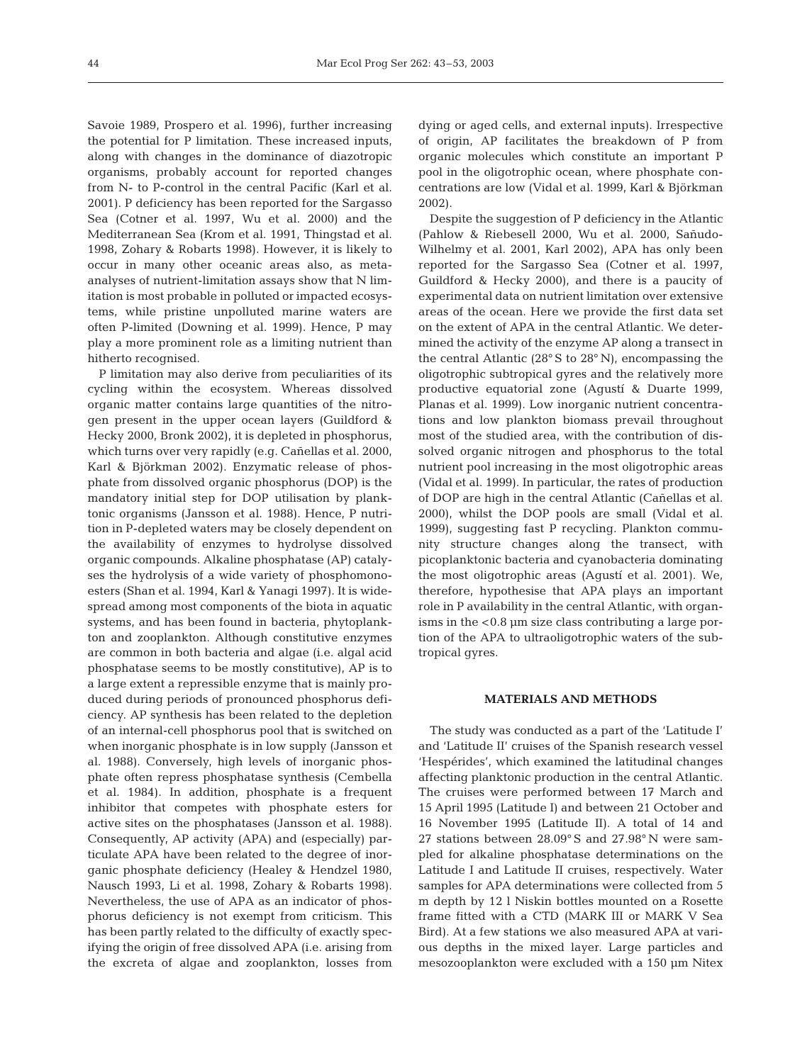Savoie 1989, Prospero et al. 1996), further increasing the potential for P limitation. These increased inputs, along with changes in the dominance of diazotropic organisms, probably account for reported changes from N- to P-control in the central Pacific (Karl et al. 2001). P deficiency has been reported for the Sargasso Sea (Cotner et al. 1997, Wu et al. 2000) and the Mediterranean Sea (Krom et al. 1991, Thingstad et al. 1998, Zohary & Robarts 1998). However, it is likely to occur in many other oceanic areas also, as metaanalyses of nutrient-limitation assays show that N limitation is most probable in polluted or impacted ecosystems, while pristine unpolluted marine waters are often P-limited (Downing et al. 1999). Hence, P may play a more prominent role as a limiting nutrient than hitherto recognised.

P limitation may also derive from peculiarities of its cycling within the ecosystem. Whereas dissolved organic matter contains large quantities of the nitrogen present in the upper ocean layers (Guildford & Hecky 2000, Bronk 2002), it is depleted in phosphorus, which turns over very rapidly (e.g. Cañellas et al. 2000, Karl & Björkman 2002). Enzymatic release of phosphate from dissolved organic phosphorus (DOP) is the mandatory initial step for DOP utilisation by planktonic organisms (Jansson et al. 1988). Hence, P nutrition in P-depleted waters may be closely dependent on the availability of enzymes to hydrolyse dissolved organic compounds. Alkaline phosphatase (AP) catalyses the hydrolysis of a wide variety of phosphomonoesters (Shan et al. 1994, Karl & Yanagi 1997). It is widespread among most components of the biota in aquatic systems, and has been found in bacteria, phytoplankton and zooplankton. Although constitutive enzymes are common in both bacteria and algae (i.e. algal acid phosphatase seems to be mostly constitutive), AP is to a large extent a repressible enzyme that is mainly produced during periods of pronounced phosphorus deficiency. AP synthesis has been related to the depletion of an internal-cell phosphorus pool that is switched on when inorganic phosphate is in low supply (Jansson et al. 1988). Conversely, high levels of inorganic phosphate often repress phosphatase synthesis (Cembella et al. 1984). In addition, phosphate is a frequent inhibitor that competes with phosphate esters for active sites on the phosphatases (Jansson et al. 1988). Consequently, AP activity (APA) and (especially) particulate APA have been related to the degree of inorganic phosphate deficiency (Healey & Hendzel 1980, Nausch 1993, Li et al. 1998, Zohary & Robarts 1998). Nevertheless, the use of APA as an indicator of phosphorus deficiency is not exempt from criticism. This has been partly related to the difficulty of exactly specifying the origin of free dissolved APA (i.e. arising from the excreta of algae and zooplankton, losses from

dying or aged cells, and external inputs). Irrespective of origin, AP facilitates the breakdown of P from organic molecules which constitute an important P pool in the oligotrophic ocean, where phosphate concentrations are low (Vidal et al. 1999, Karl & Björkman 2002).

Despite the suggestion of P deficiency in the Atlantic (Pahlow & Riebesell 2000, Wu et al. 2000, Sañudo-Wilhelmy et al. 2001, Karl 2002), APA has only been reported for the Sargasso Sea (Cotner et al. 1997, Guildford & Hecky 2000), and there is a paucity of experimental data on nutrient limitation over extensive areas of the ocean. Here we provide the first data set on the extent of APA in the central Atlantic. We determined the activity of the enzyme AP along a transect in the central Atlantic (28° S to 28° N), encompassing the oligotrophic subtropical gyres and the relatively more productive equatorial zone (Agustí & Duarte 1999, Planas et al. 1999). Low inorganic nutrient concentrations and low plankton biomass prevail throughout most of the studied area, with the contribution of dissolved organic nitrogen and phosphorus to the total nutrient pool increasing in the most oligotrophic areas (Vidal et al. 1999). In particular, the rates of production of DOP are high in the central Atlantic (Cañellas et al. 2000), whilst the DOP pools are small (Vidal et al. 1999), suggesting fast P recycling. Plankton community structure changes along the transect, with picoplanktonic bacteria and cyanobacteria dominating the most oligotrophic areas (Agustí et al. 2001). We, therefore, hypothesise that APA plays an important role in P availability in the central Atlantic, with organisms in the <0.8 µm size class contributing a large portion of the APA to ultraoligotrophic waters of the subtropical gyres.

#### **MATERIALS AND METHODS**

The study was conducted as a part of the 'Latitude I' and 'Latitude II' cruises of the Spanish research vessel 'Hespérides', which examined the latitudinal changes affecting planktonic production in the central Atlantic. The cruises were performed between 17 March and 15 April 1995 (Latitude I) and between 21 October and 16 November 1995 (Latitude II). A total of 14 and 27 stations between 28.09° S and 27.98° N were sampled for alkaline phosphatase determinations on the Latitude I and Latitude II cruises, respectively. Water samples for APA determinations were collected from 5 m depth by 12 l Niskin bottles mounted on a Rosette frame fitted with a CTD (MARK III or MARK V Sea Bird). At a few stations we also measured APA at various depths in the mixed layer. Large particles and mesozooplankton were excluded with a 150 µm Nitex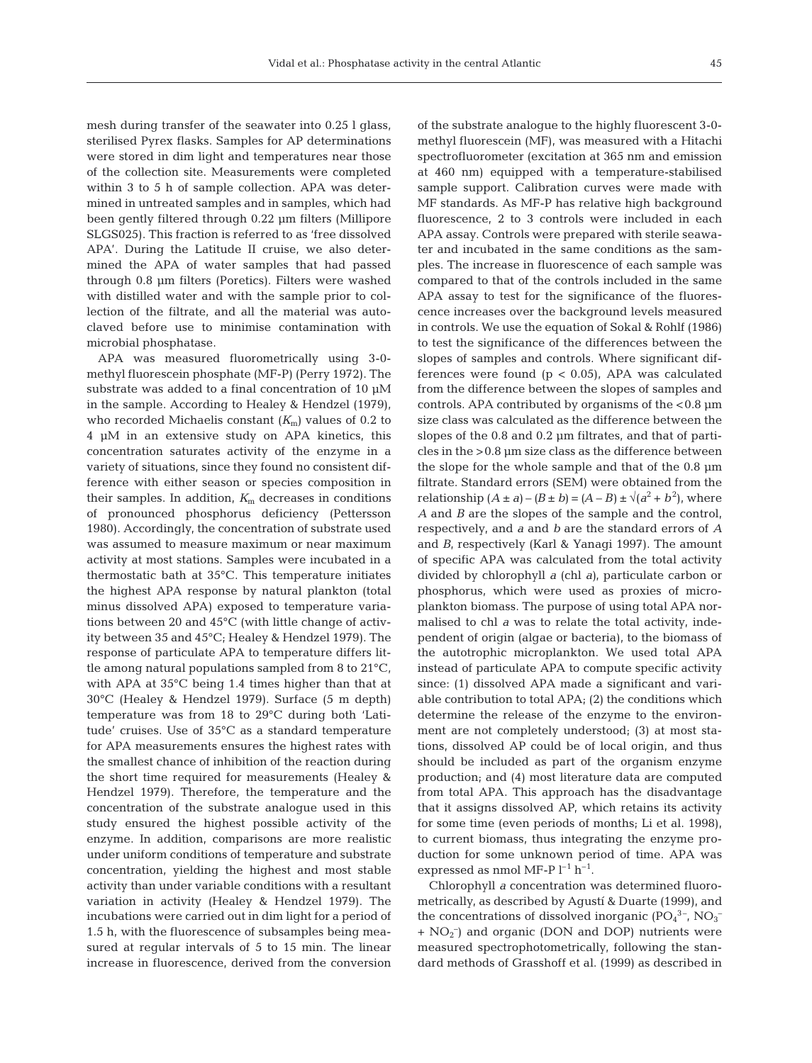mesh during transfer of the seawater into 0.25 l glass, sterilised Pyrex flasks. Samples for AP determinations were stored in dim light and temperatures near those of the collection site. Measurements were completed within 3 to 5 h of sample collection. APA was determined in untreated samples and in samples, which had been gently filtered through 0.22 µm filters (Millipore SLGS025). This fraction is referred to as 'free dissolved APA'. During the Latitude II cruise, we also determined the APA of water samples that had passed through 0.8 µm filters (Poretics). Filters were washed with distilled water and with the sample prior to collection of the filtrate, and all the material was autoclaved before use to minimise contamination with microbial phosphatase.

APA was measured fluorometrically using 3-0 methyl fluorescein phosphate (MF-P) (Perry 1972). The substrate was added to a final concentration of 10  $\mu$ M in the sample. According to Healey & Hendzel (1979), who recorded Michaelis constant (*K*m) values of 0.2 to 4 µM in an extensive study on APA kinetics, this concentration saturates activity of the enzyme in a variety of situations, since they found no consistent difference with either season or species composition in their samples. In addition,  $K<sub>m</sub>$  decreases in conditions of pronounced phosphorus deficiency (Pettersson 1980). Accordingly, the concentration of substrate used was assumed to measure maximum or near maximum activity at most stations. Samples were incubated in a thermostatic bath at 35°C. This temperature initiates the highest APA response by natural plankton (total minus dissolved APA) exposed to temperature variations between 20 and 45°C (with little change of activity between 35 and 45°C; Healey & Hendzel 1979). The response of particulate APA to temperature differs little among natural populations sampled from 8 to 21°C, with APA at 35°C being 1.4 times higher than that at 30°C (Healey & Hendzel 1979). Surface (5 m depth) temperature was from 18 to 29°C during both 'Latitude' cruises. Use of 35°C as a standard temperature for APA measurements ensures the highest rates with the smallest chance of inhibition of the reaction during the short time required for measurements (Healey & Hendzel 1979). Therefore, the temperature and the concentration of the substrate analogue used in this study ensured the highest possible activity of the enzyme. In addition, comparisons are more realistic under uniform conditions of temperature and substrate concentration, yielding the highest and most stable activity than under variable conditions with a resultant variation in activity (Healey & Hendzel 1979). The incubations were carried out in dim light for a period of 1.5 h, with the fluorescence of subsamples being measured at regular intervals of 5 to 15 min. The linear increase in fluorescence, derived from the conversion

of the substrate analogue to the highly fluorescent 3-0 methyl fluorescein (MF), was measured with a Hitachi spectrofluorometer (excitation at 365 nm and emission at 460 nm) equipped with a temperature-stabilised sample support. Calibration curves were made with MF standards. As MF-P has relative high background fluorescence, 2 to 3 controls were included in each APA assay. Controls were prepared with sterile seawater and incubated in the same conditions as the samples. The increase in fluorescence of each sample was compared to that of the controls included in the same APA assay to test for the significance of the fluorescence increases over the background levels measured in controls. We use the equation of Sokal & Rohlf (1986) to test the significance of the differences between the slopes of samples and controls. Where significant differences were found  $(p < 0.05)$ , APA was calculated from the difference between the slopes of samples and controls. APA contributed by organisms of the  $< 0.8 \mu m$ size class was calculated as the difference between the slopes of the 0.8 and 0.2 µm filtrates, and that of particles in the >0.8 µm size class as the difference between the slope for the whole sample and that of the 0.8 µm filtrate. Standard errors (SEM) were obtained from the relationship  $(A \pm a) - (B \pm b) = (A - B) \pm \sqrt{(a^2 + b^2)}$ , where *A* and *B* are the slopes of the sample and the control, respectively, and *a* and *b* are the standard errors of *A* and *B*, respectively (Karl & Yanagi 1997). The amount of specific APA was calculated from the total activity divided by chlorophyll *a* (chl *a)*, particulate carbon or phosphorus, which were used as proxies of microplankton biomass. The purpose of using total APA normalised to chl *a* was to relate the total activity, independent of origin (algae or bacteria), to the biomass of the autotrophic microplankton. We used total APA instead of particulate APA to compute specific activity since: (1) dissolved APA made a significant and variable contribution to total APA; (2) the conditions which determine the release of the enzyme to the environment are not completely understood; (3) at most stations, dissolved AP could be of local origin, and thus should be included as part of the organism enzyme production; and (4) most literature data are computed from total APA. This approach has the disadvantage that it assigns dissolved AP, which retains its activity for some time (even periods of months; Li et al. 1998), to current biomass, thus integrating the enzyme production for some unknown period of time. APA was expressed as nmol MF-P  $\rm l^{-1}$   $\rm h^{-1}.$ 

Chlorophyll *a* concentration was determined fluorometrically, as described by Agustí & Duarte (1999), and the concentrations of dissolved inorganic  $[PO_4^3$ <sup>-</sup>,  $NO_3^-$ + NO2 – ) and organic (DON and DOP) nutrients were measured spectrophotometrically, following the standard methods of Grasshoff et al. (1999) as described in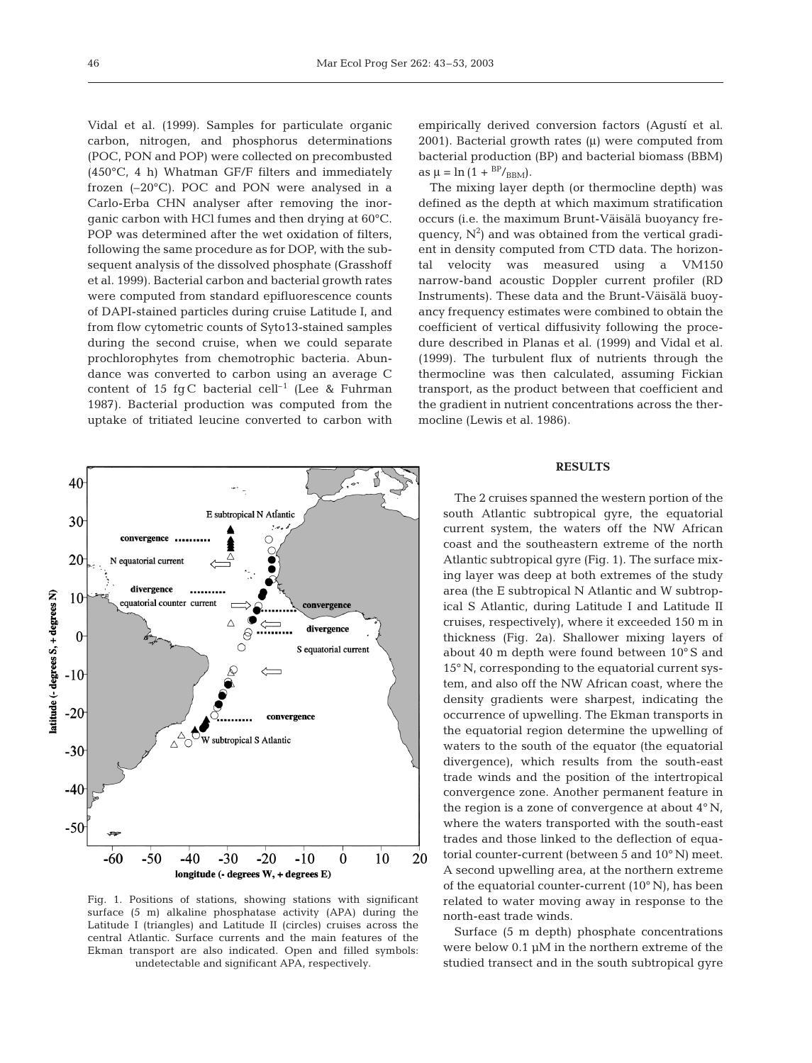Vidal et al. (1999). Samples for particulate organic carbon, nitrogen, and phosphorus determinations (POC, PON and POP) were collected on precombusted (450°C, 4 h) Whatman GF/F filters and immediately frozen (–20°C). POC and PON were analysed in a Carlo-Erba CHN analyser after removing the inorganic carbon with HCl fumes and then drying at 60°C. POP was determined after the wet oxidation of filters, following the same procedure as for DOP, with the subsequent analysis of the dissolved phosphate (Grasshoff et al. 1999). Bacterial carbon and bacterial growth rates were computed from standard epifluorescence counts of DAPI-stained particles during cruise Latitude I, and from flow cytometric counts of Syto13-stained samples during the second cruise, when we could separate prochlorophytes from chemotrophic bacteria. Abundance was converted to carbon using an average C content of 15 fg C bacterial cell<sup>-1</sup> (Lee & Fuhrman 1987). Bacterial production was computed from the uptake of tritiated leucine converted to carbon with



The mixing layer depth (or thermocline depth) was defined as the depth at which maximum stratification occurs (i.e. the maximum Brunt-Väisälä buoyancy frequency,  $N^2$ ) and was obtained from the vertical gradient in density computed from CTD data. The horizontal velocity was measured using a VM150 narrow-band acoustic Doppler current profiler (RD Instruments). These data and the Brunt-Väisälä buoyancy frequency estimates were combined to obtain the coefficient of vertical diffusivity following the procedure described in Planas et al. (1999) and Vidal et al. (1999). The turbulent flux of nutrients through the thermocline was then calculated, assuming Fickian transport, as the product between that coefficient and the gradient in nutrient concentrations across the thermocline (Lewis et al. 1986).

## **RESULTS**



Fig. 1. Positions of stations, showing stations with significant surface (5 m) alkaline phosphatase activity (APA) during the Latitude I (triangles) and Latitude II (circles) cruises across the central Atlantic. Surface currents and the main features of the Ekman transport are also indicated. Open and filled symbols: undetectable and significant APA, respectively.

The 2 cruises spanned the western portion of the south Atlantic subtropical gyre, the equatorial current system, the waters off the NW African coast and the southeastern extreme of the north Atlantic subtropical gyre (Fig. 1). The surface mixing layer was deep at both extremes of the study area (the E subtropical N Atlantic and W subtropical S Atlantic, during Latitude I and Latitude II cruises, respectively), where it exceeded 150 m in thickness (Fig. 2a). Shallower mixing layers of about 40 m depth were found between 10° S and 15° N, corresponding to the equatorial current system, and also off the NW African coast, where the density gradients were sharpest, indicating the occurrence of upwelling. The Ekman transports in the equatorial region determine the upwelling of waters to the south of the equator (the equatorial divergence), which results from the south-east trade winds and the position of the intertropical convergence zone. Another permanent feature in the region is a zone of convergence at about 4° N, where the waters transported with the south-east trades and those linked to the deflection of equatorial counter-current (between 5 and 10° N) meet. A second upwelling area, at the northern extreme of the equatorial counter-current (10° N), has been related to water moving away in response to the north-east trade winds.

Surface (5 m depth) phosphate concentrations were below 0.1 µM in the northern extreme of the studied transect and in the south subtropical gyre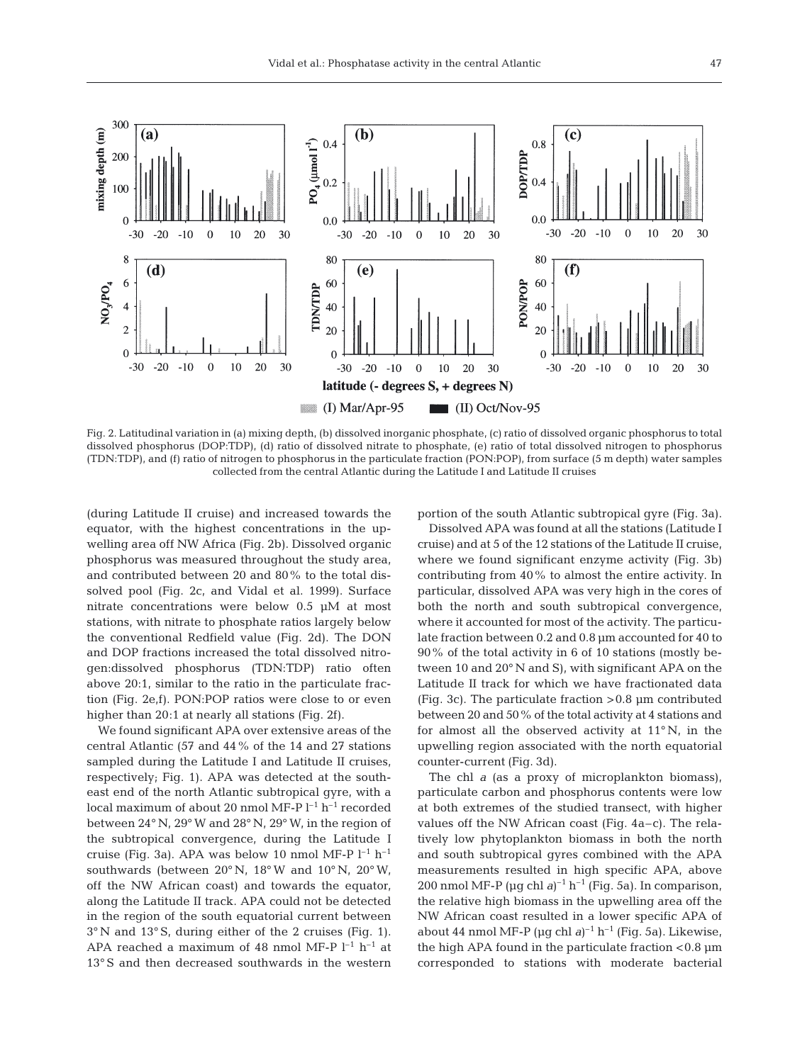

Fig. 2. Latitudinal variation in (a) mixing depth, (b) dissolved inorganic phosphate, (c) ratio of dissolved organic phosphorus to total dissolved phosphorus (DOP:TDP), (d) ratio of dissolved nitrate to phosphate, (e) ratio of total dissolved nitrogen to phosphorus (TDN:TDP), and (f) ratio of nitrogen to phosphorus in the particulate fraction (PON:POP), from surface (5 m depth) water samples collected from the central Atlantic during the Latitude I and Latitude II cruises

(during Latitude II cruise) and increased towards the equator, with the highest concentrations in the upwelling area off NW Africa (Fig. 2b). Dissolved organic phosphorus was measured throughout the study area, and contributed between 20 and 80% to the total dissolved pool (Fig. 2c, and Vidal et al. 1999). Surface nitrate concentrations were below 0.5 µM at most stations, with nitrate to phosphate ratios largely below the conventional Redfield value (Fig. 2d). The DON and DOP fractions increased the total dissolved nitrogen:dissolved phosphorus (TDN:TDP) ratio often above 20:1, similar to the ratio in the particulate fraction (Fig. 2e,f). PON:POP ratios were close to or even higher than 20:1 at nearly all stations (Fig. 2f).

We found significant APA over extensive areas of the central Atlantic (57 and 44% of the 14 and 27 stations sampled during the Latitude I and Latitude II cruises, respectively; Fig. 1). APA was detected at the southeast end of the north Atlantic subtropical gyre, with a local maximum of about 20 nmol MF-P  $l^{-1}$  h<sup>-1</sup> recorded between 24° N, 29° W and 28° N, 29° W, in the region of the subtropical convergence, during the Latitude I cruise (Fig. 3a). APA was below 10 nmol MF-P  $l^{-1}$  h<sup>-1</sup> southwards (between 20° N, 18° W and 10° N, 20° W, off the NW African coast) and towards the equator, along the Latitude II track. APA could not be detected in the region of the south equatorial current between 3° N and 13° S, during either of the 2 cruises (Fig. 1). APA reached a maximum of 48 nmol MF-P  $l^{-1}$  h<sup>-1</sup> at 13° S and then decreased southwards in the western

portion of the south Atlantic subtropical gyre (Fig. 3a).

Dissolved APA was found at all the stations (Latitude I cruise) and at 5 of the 12 stations of the Latitude II cruise, where we found significant enzyme activity (Fig. 3b) contributing from 40% to almost the entire activity. In particular, dissolved APA was very high in the cores of both the north and south subtropical convergence, where it accounted for most of the activity. The particulate fraction between 0.2 and 0.8 µm accounted for 40 to 90% of the total activity in 6 of 10 stations (mostly between 10 and 20° N and S), with significant APA on the Latitude II track for which we have fractionated data (Fig. 3c). The particulate fraction >0.8 µm contributed between 20 and 50% of the total activity at 4 stations and for almost all the observed activity at 11° N, in the upwelling region associated with the north equatorial counter-current (Fig. 3d).

The chl *a* (as a proxy of microplankton biomass), particulate carbon and phosphorus contents were low at both extremes of the studied transect, with higher values off the NW African coast (Fig. 4a–c). The relatively low phytoplankton biomass in both the north and south subtropical gyres combined with the APA measurements resulted in high specific APA, above 200 nmol MF-P ( $\mu$ g chl *a*)<sup>-1</sup> h<sup>-1</sup> (Fig. 5a). In comparison, the relative high biomass in the upwelling area off the NW African coast resulted in a lower specific APA of about 44 nmol MF-P ( $\mu$ g chl *a*)<sup>-1</sup> h<sup>-1</sup> (Fig. 5a). Likewise, the high APA found in the particulate fraction  $< 0.8 \mu m$ corresponded to stations with moderate bacterial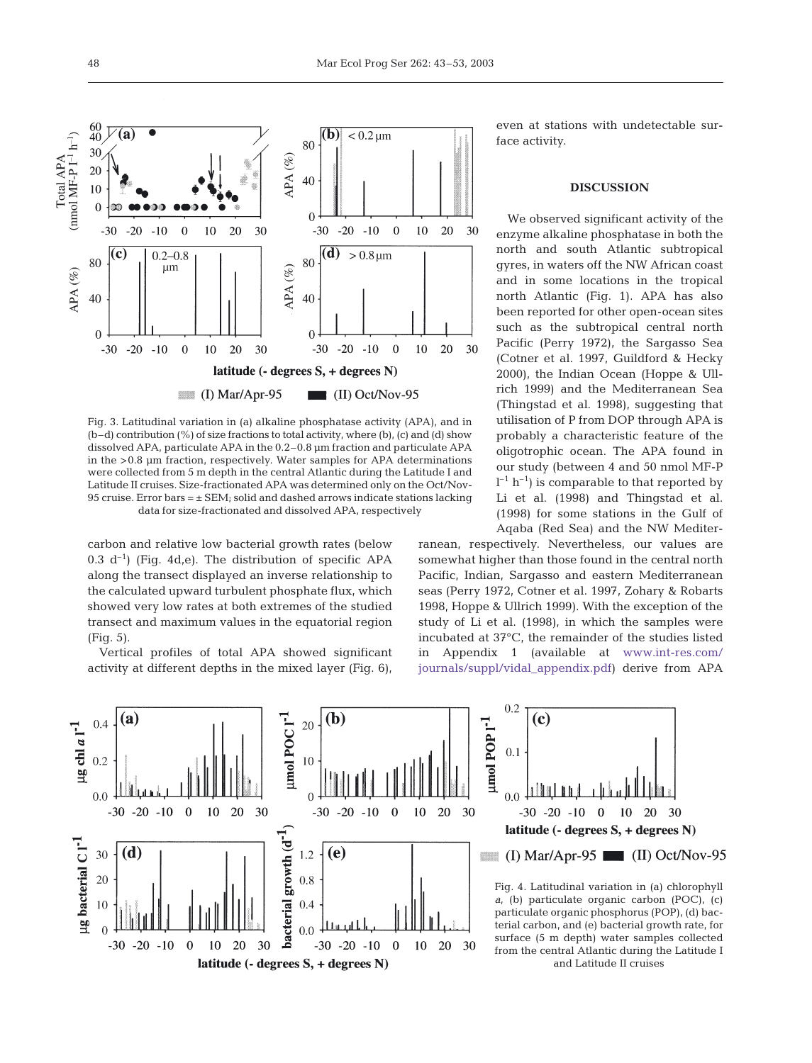

Fig. 3. Latitudinal variation in (a) alkaline phosphatase activity (APA), and in  $(b-d)$  contribution  $(\%)$  of size fractions to total activity, where  $(b)$ ,  $(c)$  and  $(d)$  show dissolved APA, particulate APA in the 0.2–0.8 µm fraction and particulate APA in the >0.8 µm fraction, respectively. Water samples for APA determinations were collected from 5 m depth in the central Atlantic during the Latitude I and Latitude II cruises. Size-fractionated APA was determined only on the Oct/Nov-95 cruise. Error bars  $= \pm$  SEM; solid and dashed arrows indicate stations lacking data for size-fractionated and dissolved APA, respectively

carbon and relative low bacterial growth rates (below 0.3  $d^{-1}$ ) (Fig. 4d,e). The distribution of specific APA along the transect displayed an inverse relationship to the calculated upward turbulent phosphate flux, which showed very low rates at both extremes of the studied transect and maximum values in the equatorial region (Fig. 5).

Vertical profiles of total APA showed significant activity at different depths in the mixed layer (Fig. 6),

even at stations with undetectable surface activity.

#### **DISCUSSION**

We observed significant activity of the enzyme alkaline phosphatase in both the north and south Atlantic subtropical gyres, in waters off the NW African coast and in some locations in the tropical north Atlantic (Fig. 1). APA has also been reported for other open-ocean sites such as the subtropical central north Pacific (Perry 1972), the Sargasso Sea (Cotner et al. 1997, Guildford & Hecky 2000), the Indian Ocean (Hoppe & Ullrich 1999) and the Mediterranean Sea (Thingstad et al. 1998), suggesting that utilisation of P from DOP through APA is probably a characteristic feature of the oligotrophic ocean. The APA found in our study (between 4 and 50 nmol MF-P  $l^{-1}$  h<sup>-1</sup>) is comparable to that reported by Li et al. (1998) and Thingstad et al. (1998) for some stations in the Gulf of Aqaba (Red Sea) and the NW Mediter-

ranean, respectively. Nevertheless, our values are somewhat higher than those found in the central north Pacific, Indian, Sargasso and eastern Mediterranean seas (Perry 1972, Cotner et al. 1997, Zohary & Robarts 1998, Hoppe & Ullrich 1999). With the exception of the study of Li et al. (1998), in which the samples were incubated at 37°C, the remainder of the studies listed in Appendix 1 (available at www.int-res.com/ journals/suppl/vidal\_appendix.pdf) derive from APA

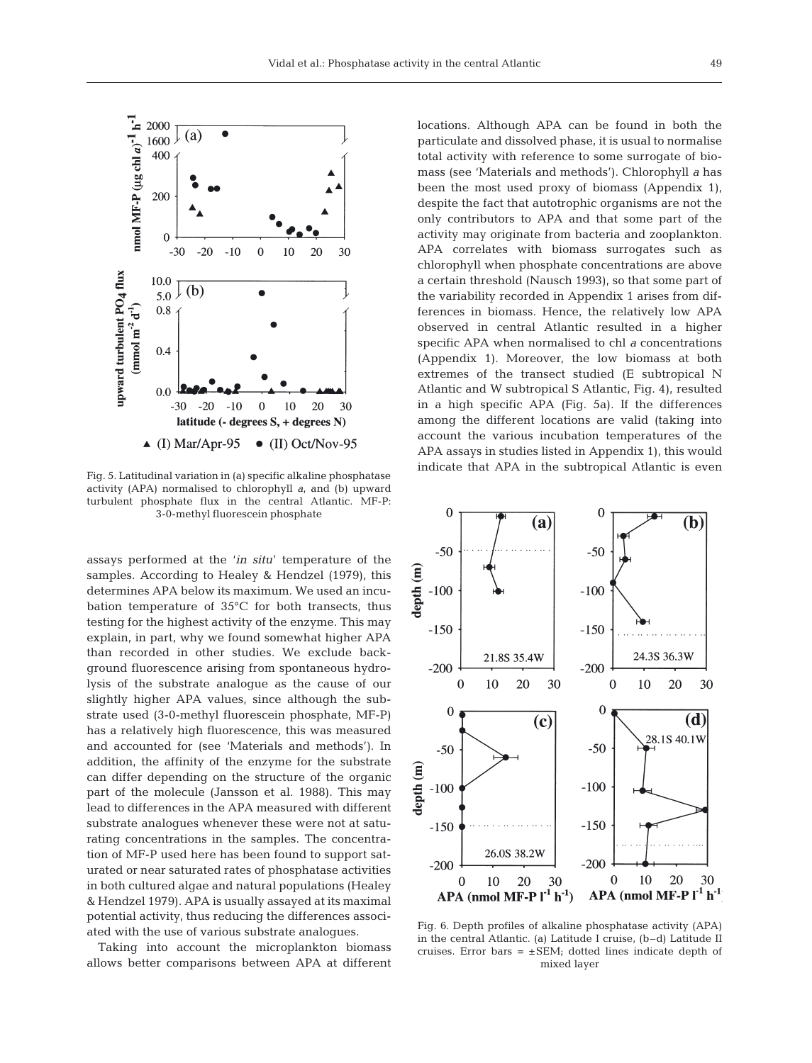

Fig. 5. Latitudinal variation in (a) specific alkaline phosphatase activity (APA) normalised to chlorophyll *a*, and (b) upward turbulent phosphate flux in the central Atlantic. MF-P: 3-0-methyl fluorescein phosphate

assays performed at the '*in situ*' temperature of the samples. According to Healey & Hendzel (1979), this determines APA below its maximum. We used an incubation temperature of 35°C for both transects, thus testing for the highest activity of the enzyme. This may explain, in part, why we found somewhat higher APA than recorded in other studies. We exclude background fluorescence arising from spontaneous hydrolysis of the substrate analogue as the cause of our slightly higher APA values, since although the substrate used (3-0-methyl fluorescein phosphate, MF-P) has a relatively high fluorescence, this was measured and accounted for (see 'Materials and methods'). In addition, the affinity of the enzyme for the substrate can differ depending on the structure of the organic part of the molecule (Jansson et al. 1988). This may lead to differences in the APA measured with different substrate analogues whenever these were not at saturating concentrations in the samples. The concentration of MF-P used here has been found to support saturated or near saturated rates of phosphatase activities in both cultured algae and natural populations (Healey & Hendzel 1979). APA is usually assayed at its maximal potential activity, thus reducing the differences associated with the use of various substrate analogues.

Taking into account the microplankton biomass allows better comparisons between APA at different locations. Although APA can be found in both the particulate and dissolved phase, it is usual to normalise total activity with reference to some surrogate of biomass (see 'Materials and methods'). Chlorophyll *a* has been the most used proxy of biomass (Appendix 1), despite the fact that autotrophic organisms are not the only contributors to APA and that some part of the activity may originate from bacteria and zooplankton. APA correlates with biomass surrogates such as chlorophyll when phosphate concentrations are above a certain threshold (Nausch 1993), so that some part of the variability recorded in Appendix 1 arises from differences in biomass. Hence, the relatively low APA observed in central Atlantic resulted in a higher specific APA when normalised to chl *a* concentrations (Appendix 1). Moreover, the low biomass at both extremes of the transect studied (E subtropical N Atlantic and W subtropical S Atlantic, Fig. 4), resulted in a high specific APA (Fig. 5a). If the differences among the different locations are valid (taking into account the various incubation temperatures of the APA assays in studies listed in Appendix 1), this would indicate that APA in the subtropical Atlantic is even



Fig. 6. Depth profiles of alkaline phosphatase activity (APA) in the central Atlantic. (a) Latitude I cruise, (b–d) Latitude II cruises. Error bars  $= \pm$  SEM; dotted lines indicate depth of mixed layer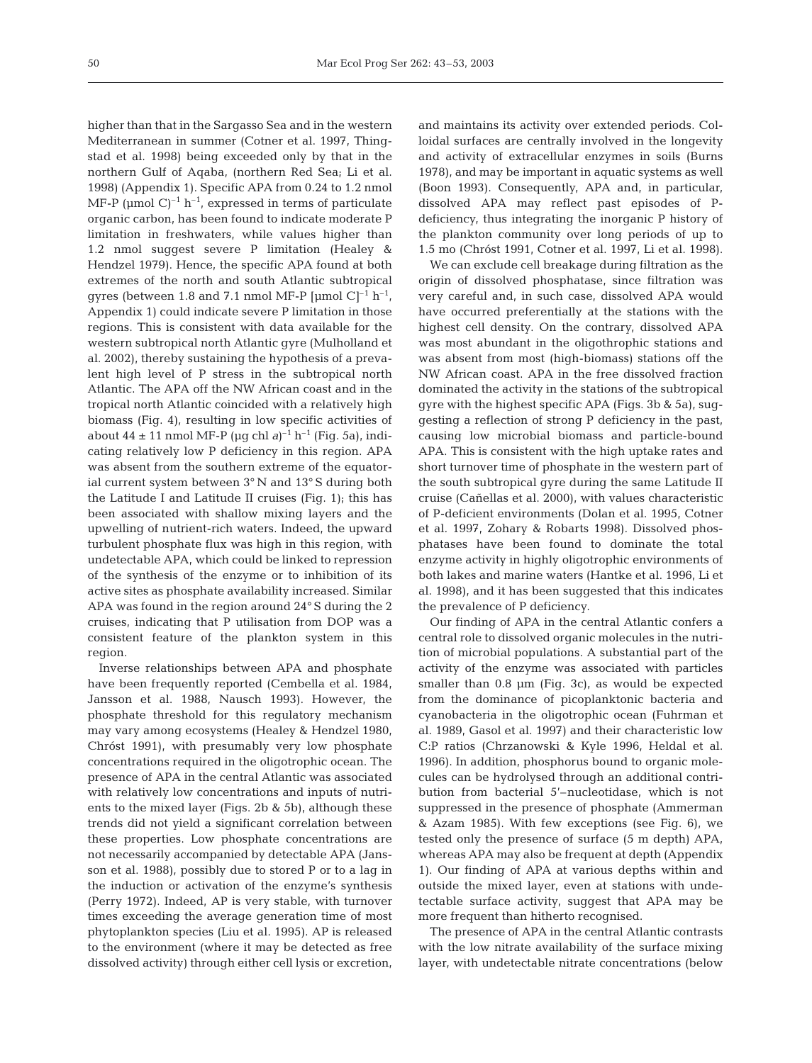higher than that in the Sargasso Sea and in the western Mediterranean in summer (Cotner et al. 1997, Thingstad et al. 1998) being exceeded only by that in the northern Gulf of Aqaba, (northern Red Sea; Li et al. 1998) (Appendix 1). Specific APA from 0.24 to 1.2 nmol MF-P ( $\mu$ mol C)<sup>-1</sup> h<sup>-1</sup>, expressed in terms of particulate organic carbon, has been found to indicate moderate P limitation in freshwaters, while values higher than 1.2 nmol suggest severe P limitation (Healey & Hendzel 1979). Hence, the specific APA found at both extremes of the north and south Atlantic subtropical gyres (between 1.8 and 7.1 nmol MF-P [µmol C]<sup>-1</sup> h<sup>-1</sup>, Appendix 1) could indicate severe P limitation in those regions. This is consistent with data available for the western subtropical north Atlantic gyre (Mulholland et al. 2002), thereby sustaining the hypothesis of a prevalent high level of P stress in the subtropical north Atlantic. The APA off the NW African coast and in the tropical north Atlantic coincided with a relatively high biomass (Fig. 4), resulting in low specific activities of about  $44 \pm 11$  nmol MF-P (µg chl *a*)<sup>-1</sup> h<sup>-1</sup> (Fig. 5a), indicating relatively low P deficiency in this region. APA was absent from the southern extreme of the equatorial current system between 3° N and 13° S during both the Latitude I and Latitude II cruises (Fig. 1); this has been associated with shallow mixing layers and the upwelling of nutrient-rich waters. Indeed, the upward turbulent phosphate flux was high in this region, with undetectable APA, which could be linked to repression of the synthesis of the enzyme or to inhibition of its active sites as phosphate availability increased. Similar APA was found in the region around 24° S during the 2 cruises, indicating that P utilisation from DOP was a consistent feature of the plankton system in this region.

Inverse relationships between APA and phosphate have been frequently reported (Cembella et al. 1984, Jansson et al. 1988, Nausch 1993). However, the phosphate threshold for this regulatory mechanism may vary among ecosystems (Healey & Hendzel 1980, Chróst 1991), with presumably very low phosphate concentrations required in the oligotrophic ocean. The presence of APA in the central Atlantic was associated with relatively low concentrations and inputs of nutrients to the mixed layer (Figs. 2b & 5b), although these trends did not yield a significant correlation between these properties. Low phosphate concentrations are not necessarily accompanied by detectable APA (Jansson et al. 1988), possibly due to stored P or to a lag in the induction or activation of the enzyme's synthesis (Perry 1972). Indeed, AP is very stable, with turnover times exceeding the average generation time of most phytoplankton species (Liu et al. 1995). AP is released to the environment (where it may be detected as free dissolved activity) through either cell lysis or excretion,

and maintains its activity over extended periods. Colloidal surfaces are centrally involved in the longevity and activity of extracellular enzymes in soils (Burns 1978), and may be important in aquatic systems as well (Boon 1993). Consequently, APA and, in particular, dissolved APA may reflect past episodes of Pdeficiency, thus integrating the inorganic P history of the plankton community over long periods of up to 1.5 mo (Chróst 1991, Cotner et al. 1997, Li et al. 1998).

We can exclude cell breakage during filtration as the origin of dissolved phosphatase, since filtration was very careful and, in such case, dissolved APA would have occurred preferentially at the stations with the highest cell density. On the contrary, dissolved APA was most abundant in the oligothrophic stations and was absent from most (high-biomass) stations off the NW African coast. APA in the free dissolved fraction dominated the activity in the stations of the subtropical gyre with the highest specific APA (Figs. 3b & 5a), suggesting a reflection of strong P deficiency in the past, causing low microbial biomass and particle-bound APA. This is consistent with the high uptake rates and short turnover time of phosphate in the western part of the south subtropical gyre during the same Latitude II cruise (Cañellas et al. 2000), with values characteristic of P-deficient environments (Dolan et al. 1995, Cotner et al. 1997, Zohary & Robarts 1998). Dissolved phosphatases have been found to dominate the total enzyme activity in highly oligotrophic environments of both lakes and marine waters (Hantke et al. 1996, Li et al. 1998), and it has been suggested that this indicates the prevalence of P deficiency.

Our finding of APA in the central Atlantic confers a central role to dissolved organic molecules in the nutrition of microbial populations. A substantial part of the activity of the enzyme was associated with particles smaller than 0.8  $\mu$ m (Fig. 3c), as would be expected from the dominance of picoplanktonic bacteria and cyanobacteria in the oligotrophic ocean (Fuhrman et al. 1989, Gasol et al. 1997) and their characteristic low C:P ratios (Chrzanowski & Kyle 1996, Heldal et al. 1996). In addition, phosphorus bound to organic molecules can be hydrolysed through an additional contribution from bacterial 5'–nucleotidase, which is not suppressed in the presence of phosphate (Ammerman & Azam 1985). With few exceptions (see Fig. 6), we tested only the presence of surface (5 m depth) APA, whereas APA may also be frequent at depth (Appendix 1). Our finding of APA at various depths within and outside the mixed layer, even at stations with undetectable surface activity, suggest that APA may be more frequent than hitherto recognised.

The presence of APA in the central Atlantic contrasts with the low nitrate availability of the surface mixing layer, with undetectable nitrate concentrations (below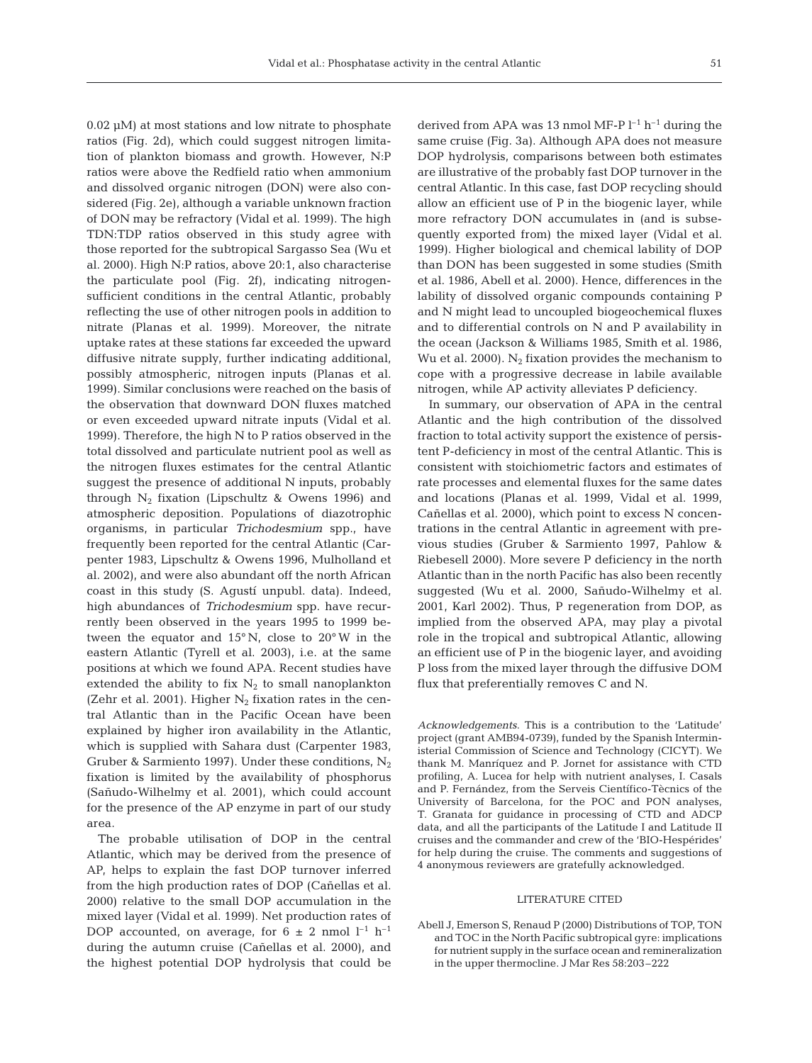0.02 µM) at most stations and low nitrate to phosphate ratios (Fig. 2d), which could suggest nitrogen limitation of plankton biomass and growth. However, N:P ratios were above the Redfield ratio when ammonium and dissolved organic nitrogen (DON) were also considered (Fig. 2e), although a variable unknown fraction of DON may be refractory (Vidal et al. 1999). The high TDN:TDP ratios observed in this study agree with those reported for the subtropical Sargasso Sea (Wu et al. 2000). High N:P ratios, above 20:1, also characterise the particulate pool (Fig. 2f), indicating nitrogensufficient conditions in the central Atlantic, probably reflecting the use of other nitrogen pools in addition to nitrate (Planas et al. 1999). Moreover, the nitrate uptake rates at these stations far exceeded the upward diffusive nitrate supply, further indicating additional, possibly atmospheric, nitrogen inputs (Planas et al. 1999). Similar conclusions were reached on the basis of the observation that downward DON fluxes matched or even exceeded upward nitrate inputs (Vidal et al. 1999). Therefore, the high N to P ratios observed in the total dissolved and particulate nutrient pool as well as the nitrogen fluxes estimates for the central Atlantic suggest the presence of additional N inputs, probably through  $N_2$  fixation (Lipschultz & Owens 1996) and atmospheric deposition. Populations of diazotrophic organisms, in particular *Trichodesmium* spp., have frequently been reported for the central Atlantic (Carpenter 1983, Lipschultz & Owens 1996, Mulholland et al. 2002), and were also abundant off the north African coast in this study (S. Agustí unpubl. data). Indeed, high abundances of *Trichodesmium* spp. have recurrently been observed in the years 1995 to 1999 between the equator and 15° N, close to 20° W in the eastern Atlantic (Tyrell et al. 2003), i.e. at the same positions at which we found APA. Recent studies have extended the ability to fix  $N_2$  to small nanoplankton (Zehr et al. 2001). Higher  $N_2$  fixation rates in the central Atlantic than in the Pacific Ocean have been explained by higher iron availability in the Atlantic, which is supplied with Sahara dust (Carpenter 1983, Gruber & Sarmiento 1997). Under these conditions,  $N_2$ fixation is limited by the availability of phosphorus (Sañudo-Wilhelmy et al. 2001), which could account for the presence of the AP enzyme in part of our study area.

The probable utilisation of DOP in the central Atlantic, which may be derived from the presence of AP, helps to explain the fast DOP turnover inferred from the high production rates of DOP (Cañellas et al. 2000) relative to the small DOP accumulation in the mixed layer (Vidal et al. 1999). Net production rates of DOP accounted, on average, for  $6 \pm 2$  nmol  $l^{-1}$  h<sup>-1</sup> during the autumn cruise (Cañellas et al. 2000), and the highest potential DOP hydrolysis that could be

derived from APA was 13 nmol MF-P  $l^{-1}$  h<sup>-1</sup> during the same cruise (Fig. 3a). Although APA does not measure DOP hydrolysis, comparisons between both estimates are illustrative of the probably fast DOP turnover in the central Atlantic. In this case, fast DOP recycling should allow an efficient use of P in the biogenic layer, while more refractory DON accumulates in (and is subsequently exported from) the mixed layer (Vidal et al. 1999). Higher biological and chemical lability of DOP than DON has been suggested in some studies (Smith et al. 1986, Abell et al. 2000). Hence, differences in the lability of dissolved organic compounds containing P and N might lead to uncoupled biogeochemical fluxes and to differential controls on N and P availability in the ocean (Jackson & Williams 1985, Smith et al. 1986, Wu et al. 2000).  $N_2$  fixation provides the mechanism to cope with a progressive decrease in labile available nitrogen, while AP activity alleviates P deficiency.

In summary, our observation of APA in the central Atlantic and the high contribution of the dissolved fraction to total activity support the existence of persistent P-deficiency in most of the central Atlantic. This is consistent with stoichiometric factors and estimates of rate processes and elemental fluxes for the same dates and locations (Planas et al. 1999, Vidal et al. 1999, Cañellas et al. 2000), which point to excess N concentrations in the central Atlantic in agreement with previous studies (Gruber & Sarmiento 1997, Pahlow & Riebesell 2000). More severe P deficiency in the north Atlantic than in the north Pacific has also been recently suggested (Wu et al. 2000, Sañudo-Wilhelmy et al. 2001, Karl 2002). Thus, P regeneration from DOP, as implied from the observed APA, may play a pivotal role in the tropical and subtropical Atlantic, allowing an efficient use of P in the biogenic layer, and avoiding P loss from the mixed layer through the diffusive DOM flux that preferentially removes C and N.

*Acknowledgements*. This is a contribution to the 'Latitude' project (grant AMB94-0739), funded by the Spanish Interministerial Commission of Science and Technology (CICYT). We thank M. Manríquez and P. Jornet for assistance with CTD profiling, A. Lucea for help with nutrient analyses, I. Casals and P. Fernández, from the Serveis Científico-Tècnics of the University of Barcelona, for the POC and PON analyses, T. Granata for guidance in processing of CTD and ADCP data, and all the participants of the Latitude I and Latitude II cruises and the commander and crew of the 'BIO-Hespérides' for help during the cruise. The comments and suggestions of 4 anonymous reviewers are gratefully acknowledged.

### LITERATURE CITED

Abell J, Emerson S, Renaud P (2000) Distributions of TOP, TON and TOC in the North Pacific subtropical gyre: implications for nutrient supply in the surface ocean and remineralization in the upper thermocline. J Mar Res 58:203–222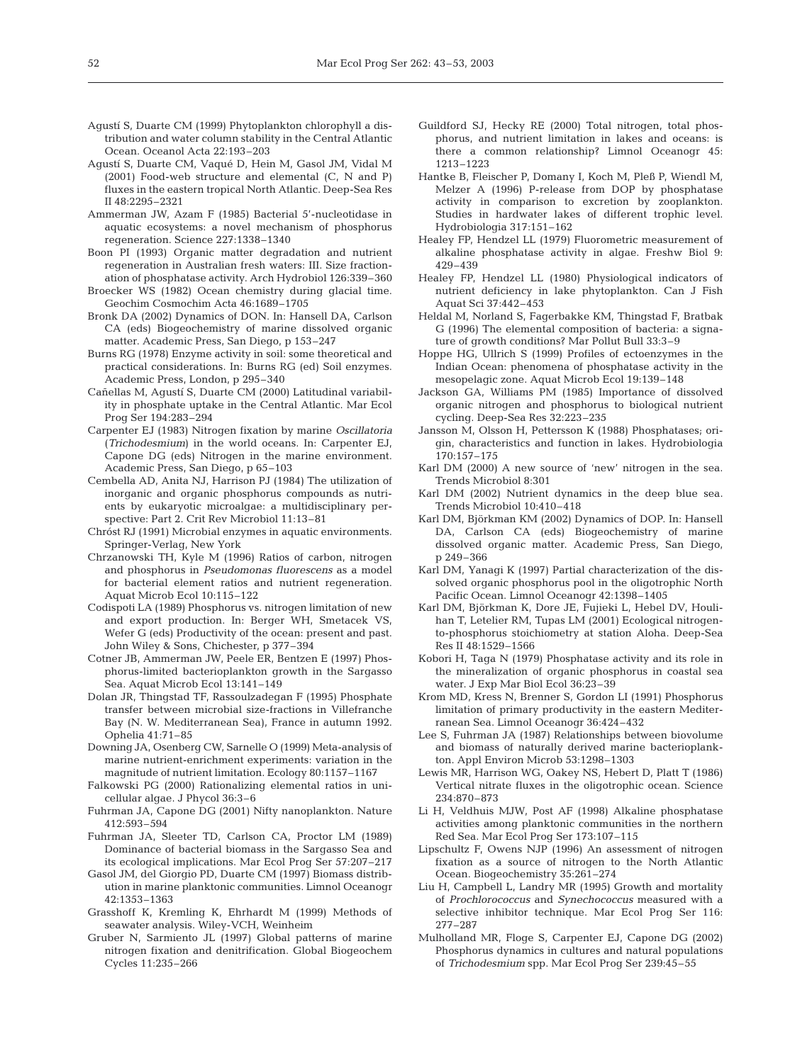- Agustí S, Duarte CM (1999) Phytoplankton chlorophyll a distribution and water column stability in the Central Atlantic Ocean. Oceanol Acta 22:193–203
- Agustí S, Duarte CM, Vaqué D, Hein M, Gasol JM, Vidal M (2001) Food-web structure and elemental (C, N and P) fluxes in the eastern tropical North Atlantic. Deep-Sea Res II 48:2295–2321
- Ammerman JW, Azam F (1985) Bacterial 5'-nucleotidase in aquatic ecosystems: a novel mechanism of phosphorus regeneration. Science 227:1338–1340
- Boon PI (1993) Organic matter degradation and nutrient regeneration in Australian fresh waters: III. Size fractionation of phosphatase activity. Arch Hydrobiol 126:339–360
- Broecker WS (1982) Ocean chemistry during glacial time. Geochim Cosmochim Acta 46:1689–1705
- Bronk DA (2002) Dynamics of DON. In: Hansell DA, Carlson CA (eds) Biogeochemistry of marine dissolved organic matter. Academic Press, San Diego, p 153–247
- Burns RG (1978) Enzyme activity in soil: some theoretical and practical considerations. In: Burns RG (ed) Soil enzymes. Academic Press, London, p 295–340
- Cañellas M, Agustí S, Duarte CM (2000) Latitudinal variability in phosphate uptake in the Central Atlantic. Mar Ecol Prog Ser 194:283–294
- Carpenter EJ (1983) Nitrogen fixation by marine *Oscillatoria* (*Trichodesmium*) in the world oceans. In: Carpenter EJ, Capone DG (eds) Nitrogen in the marine environment. Academic Press, San Diego, p 65–103
- Cembella AD, Anita NJ, Harrison PJ (1984) The utilization of inorganic and organic phosphorus compounds as nutrients by eukaryotic microalgae: a multidisciplinary perspective: Part 2. Crit Rev Microbiol 11:13–81
- Chróst RJ (1991) Microbial enzymes in aquatic environments. Springer-Verlag, New York
- Chrzanowski TH, Kyle M (1996) Ratios of carbon, nitrogen and phosphorus in *Pseudomonas fluorescens* as a model for bacterial element ratios and nutrient regeneration. Aquat Microb Ecol 10:115–122
- Codispoti LA (1989) Phosphorus vs. nitrogen limitation of new and export production. In: Berger WH, Smetacek VS, Wefer G (eds) Productivity of the ocean: present and past. John Wiley & Sons, Chichester, p 377–394
- Cotner JB, Ammerman JW, Peele ER, Bentzen E (1997) Phosphorus-limited bacterioplankton growth in the Sargasso Sea. Aquat Microb Ecol 13:141–149
- Dolan JR, Thingstad TF, Rassoulzadegan F (1995) Phosphate transfer between microbial size-fractions in Villefranche Bay (N. W. Mediterranean Sea), France in autumn 1992. Ophelia 41:71–85
- Downing JA, Osenberg CW, Sarnelle O (1999) Meta-analysis of marine nutrient-enrichment experiments: variation in the magnitude of nutrient limitation. Ecology 80:1157–1167
- Falkowski PG (2000) Rationalizing elemental ratios in unicellular algae. J Phycol 36:3–6
- Fuhrman JA, Capone DG (2001) Nifty nanoplankton. Nature 412:593–594
- Fuhrman JA, Sleeter TD, Carlson CA, Proctor LM (1989) Dominance of bacterial biomass in the Sargasso Sea and its ecological implications. Mar Ecol Prog Ser 57:207–217
- Gasol JM, del Giorgio PD, Duarte CM (1997) Biomass distribution in marine planktonic communities. Limnol Oceanogr 42:1353–1363
- Grasshoff K, Kremling K, Ehrhardt M (1999) Methods of seawater analysis. Wiley-VCH, Weinheim
- Gruber N, Sarmiento JL (1997) Global patterns of marine nitrogen fixation and denitrification. Global Biogeochem Cycles 11:235–266
- Guildford SJ, Hecky RE (2000) Total nitrogen, total phosphorus, and nutrient limitation in lakes and oceans: is there a common relationship? Limnol Oceanogr 45: 1213–1223
- Hantke B, Fleischer P, Domany I, Koch M, Pleß P, Wiendl M, Melzer A (1996) P-release from DOP by phosphatase activity in comparison to excretion by zooplankton. Studies in hardwater lakes of different trophic level. Hydrobiologia 317:151–162
- Healey FP, Hendzel LL (1979) Fluorometric measurement of alkaline phosphatase activity in algae. Freshw Biol 9: 429–439
- Healey FP, Hendzel LL (1980) Physiological indicators of nutrient deficiency in lake phytoplankton. Can J Fish Aquat Sci 37:442–453
- Heldal M, Norland S, Fagerbakke KM, Thingstad F, Bratbak G (1996) The elemental composition of bacteria: a signature of growth conditions? Mar Pollut Bull 33:3–9
- Hoppe HG, Ullrich S (1999) Profiles of ectoenzymes in the Indian Ocean: phenomena of phosphatase activity in the mesopelagic zone. Aquat Microb Ecol 19:139–148
- Jackson GA, Williams PM (1985) Importance of dissolved organic nitrogen and phosphorus to biological nutrient cycling. Deep-Sea Res 32:223–235
- Jansson M, Olsson H, Pettersson K (1988) Phosphatases; origin, characteristics and function in lakes. Hydrobiologia 170:157–175
- Karl DM (2000) A new source of 'new' nitrogen in the sea. Trends Microbiol 8:301
- Karl DM (2002) Nutrient dynamics in the deep blue sea. Trends Microbiol 10:410–418
- Karl DM, Björkman KM (2002) Dynamics of DOP. In: Hansell DA, Carlson CA (eds) Biogeochemistry of marine dissolved organic matter. Academic Press, San Diego, p 249–366
- Karl DM, Yanagi K (1997) Partial characterization of the dissolved organic phosphorus pool in the oligotrophic North Pacific Ocean. Limnol Oceanogr 42:1398–1405
- Karl DM, Björkman K, Dore JE, Fujieki L, Hebel DV, Houlihan T, Letelier RM, Tupas LM (2001) Ecological nitrogento-phosphorus stoichiometry at station Aloha. Deep-Sea Res II 48:1529–1566
- Kobori H, Taga N (1979) Phosphatase activity and its role in the mineralization of organic phosphorus in coastal sea water. J Exp Mar Biol Ecol 36:23–39
- Krom MD, Kress N, Brenner S, Gordon LI (1991) Phosphorus limitation of primary productivity in the eastern Mediterranean Sea. Limnol Oceanogr 36:424–432
- Lee S, Fuhrman JA (1987) Relationships between biovolume and biomass of naturally derived marine bacterioplankton. Appl Environ Microb 53:1298–1303
- Lewis MR, Harrison WG, Oakey NS, Hebert D, Platt T (1986) Vertical nitrate fluxes in the oligotrophic ocean. Science 234:870–873
- Li H, Veldhuis MJW, Post AF (1998) Alkaline phosphatase activities among planktonic communities in the northern Red Sea. Mar Ecol Prog Ser 173:107–115
- Lipschultz F, Owens NJP (1996) An assessment of nitrogen fixation as a source of nitrogen to the North Atlantic Ocean. Biogeochemistry 35:261–274
- Liu H, Campbell L, Landry MR (1995) Growth and mortality of *Prochlorococcus* and *Synechococcus* measured with a selective inhibitor technique. Mar Ecol Prog Ser 116: 277–287
- Mulholland MR, Floge S, Carpenter EJ, Capone DG (2002) Phosphorus dynamics in cultures and natural populations of *Trichodesmium* spp. Mar Ecol Prog Ser 239:45–55